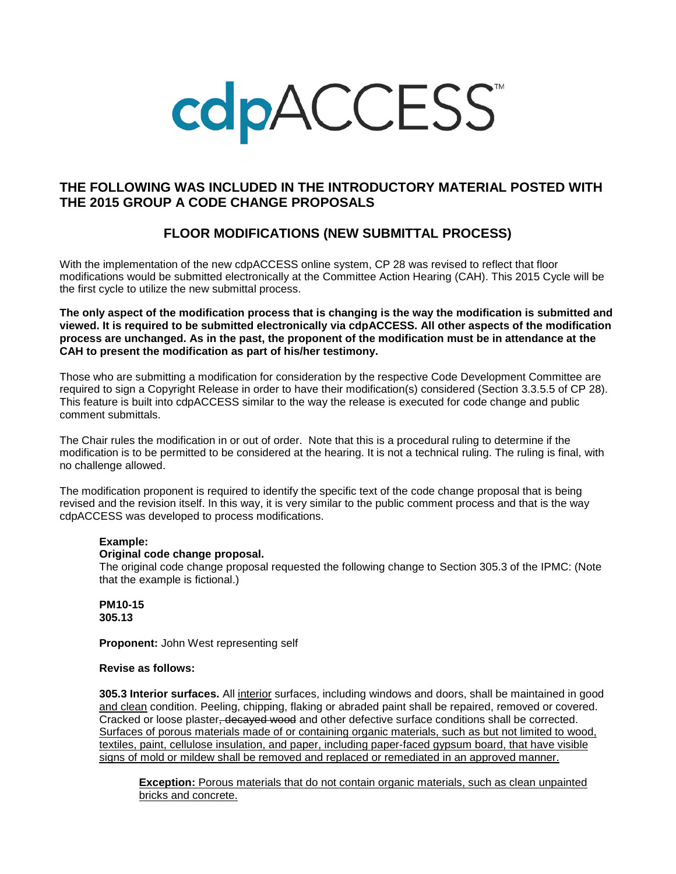# **cdpACCESS**

# **THE FOLLOWING WAS INCLUDED IN THE INTRODUCTORY MATERIAL POSTED WITH THE 2015 GROUP A CODE CHANGE PROPOSALS**

# **FLOOR MODIFICATIONS (NEW SUBMITTAL PROCESS)**

With the implementation of the new cdpACCESS online system, CP 28 was revised to reflect that floor modifications would be submitted electronically at the Committee Action Hearing (CAH). This 2015 Cycle will be the first cycle to utilize the new submittal process.

**The only aspect of the modification process that is changing is the way the modification is submitted and viewed. It is required to be submitted electronically via cdpACCESS. All other aspects of the modification process are unchanged. As in the past, the proponent of the modification must be in attendance at the CAH to present the modification as part of his/her testimony.**

Those who are submitting a modification for consideration by the respective Code Development Committee are required to sign a Copyright Release in order to have their modification(s) considered (Section 3.3.5.5 of CP 28). This feature is built into cdpACCESS similar to the way the release is executed for code change and public comment submittals.

The Chair rules the modification in or out of order. Note that this is a procedural ruling to determine if the modification is to be permitted to be considered at the hearing. It is not a technical ruling. The ruling is final, with no challenge allowed.

The modification proponent is required to identify the specific text of the code change proposal that is being revised and the revision itself. In this way, it is very similar to the public comment process and that is the way cdpACCESS was developed to process modifications.

#### **Example:**

#### **Original code change proposal.**

The original code change proposal requested the following change to Section 305.3 of the IPMC: (Note that the example is fictional.)

**PM10-15 305.13**

**Proponent:** John West representing self

#### **Revise as follows:**

**305.3 Interior surfaces.** All interior surfaces, including windows and doors, shall be maintained in good and clean condition. Peeling, chipping, flaking or abraded paint shall be repaired, removed or covered. Cracked or loose plaster<del>, decayed wood</del> and other defective surface conditions shall be corrected. Surfaces of porous materials made of or containing organic materials, such as but not limited to wood, textiles, paint, cellulose insulation, and paper, including paper-faced gypsum board, that have visible signs of mold or mildew shall be removed and replaced or remediated in an approved manner.

**Exception:** Porous materials that do not contain organic materials, such as clean unpainted bricks and concrete.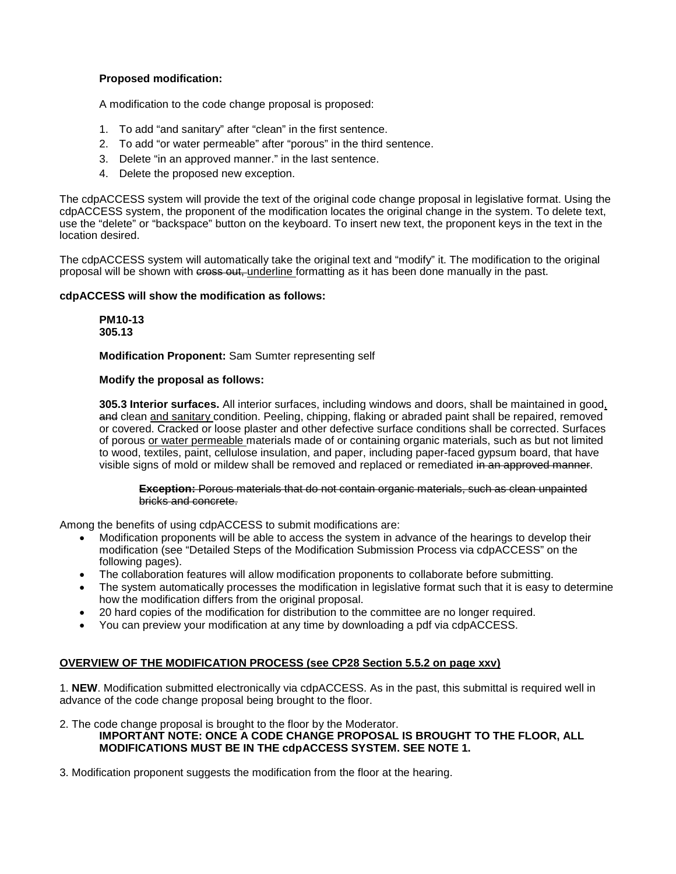## **Proposed modification:**

A modification to the code change proposal is proposed:

- 1. To add "and sanitary" after "clean" in the first sentence.
- 2. To add "or water permeable" after "porous" in the third sentence.
- 3. Delete "in an approved manner." in the last sentence.
- 4. Delete the proposed new exception.

The cdpACCESS system will provide the text of the original code change proposal in legislative format. Using the cdpACCESS system, the proponent of the modification locates the original change in the system. To delete text, use the "delete" or "backspace" button on the keyboard. To insert new text, the proponent keys in the text in the location desired.

The cdpACCESS system will automatically take the original text and "modify" it. The modification to the original proposal will be shown with cross out, underline formatting as it has been done manually in the past.

#### **cdpACCESS will show the modification as follows:**

**PM10-13 305.13**

**Modification Proponent:** Sam Sumter representing self

#### **Modify the proposal as follows:**

**305.3 Interior surfaces.** All interior surfaces, including windows and doors, shall be maintained in good, and clean and sanitary condition. Peeling, chipping, flaking or abraded paint shall be repaired, removed or covered. Cracked or loose plaster and other defective surface conditions shall be corrected. Surfaces of porous or water permeable materials made of or containing organic materials, such as but not limited to wood, textiles, paint, cellulose insulation, and paper, including paper-faced gypsum board, that have visible signs of mold or mildew shall be removed and replaced or remediated in an approved manner.

#### **Exception:** Porous materials that do not contain organic materials, such as clean unpainted bricks and concrete.

Among the benefits of using cdpACCESS to submit modifications are:

- Modification proponents will be able to access the system in advance of the hearings to develop their modification (see "Detailed Steps of the Modification Submission Process via cdpACCESS" on the following pages).
- The collaboration features will allow modification proponents to collaborate before submitting.
- The system automatically processes the modification in legislative format such that it is easy to determine how the modification differs from the original proposal.
- 20 hard copies of the modification for distribution to the committee are no longer required.
- You can preview your modification at any time by downloading a pdf via cdpACCESS.

## **OVERVIEW OF THE MODIFICATION PROCESS (see CP28 Section 5.5.2 on page xxv)**

1. **NEW**. Modification submitted electronically via cdpACCESS. As in the past, this submittal is required well in advance of the code change proposal being brought to the floor.

2. The code change proposal is brought to the floor by the Moderator. **IMPORTANT NOTE: ONCE A CODE CHANGE PROPOSAL IS BROUGHT TO THE FLOOR, ALL MODIFICATIONS MUST BE IN THE cdpACCESS SYSTEM. SEE NOTE 1.** 

3. Modification proponent suggests the modification from the floor at the hearing.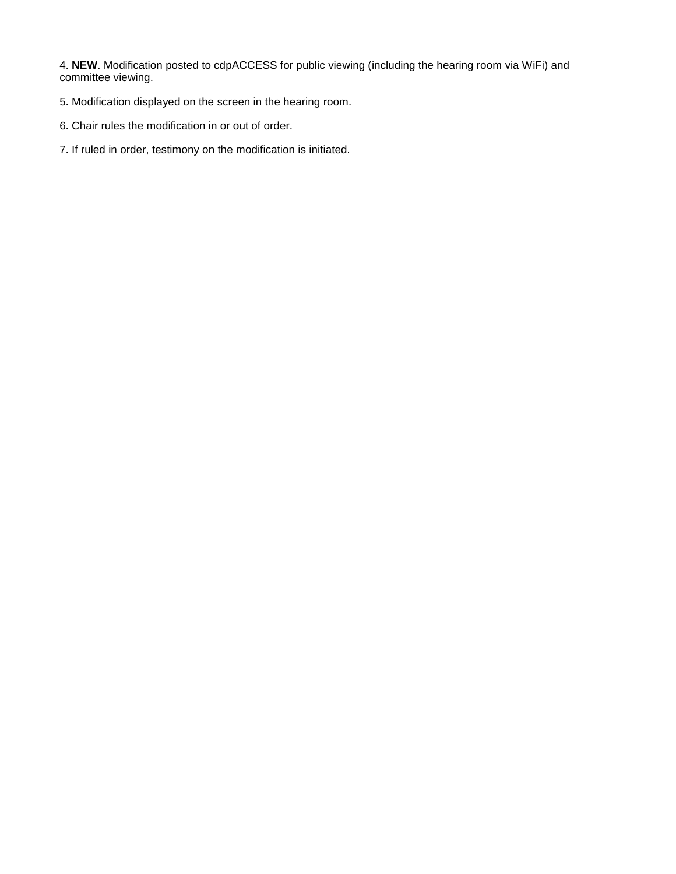4. **NEW**. Modification posted to cdpACCESS for public viewing (including the hearing room via WiFi) and committee viewing.

- 5. Modification displayed on the screen in the hearing room.
- 6. Chair rules the modification in or out of order.
- 7. If ruled in order, testimony on the modification is initiated.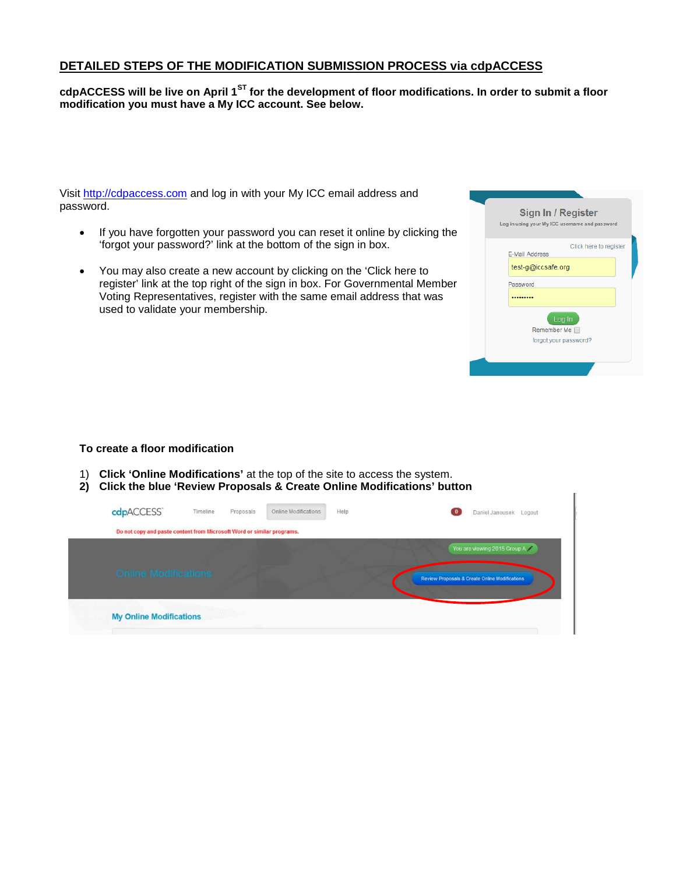# **DETAILED STEPS OF THE MODIFICATION SUBMISSION PROCESS via cdpACCESS**

## **cdpACCESS will be live on April 1ST for the development of floor modifications. In order to submit a floor modification you must have a My ICC account. See below.**

Visit [http://cdpaccess.com](http://cdpaccess.com/) and log in with your My ICC email address and password.

- If you have forgotten your password you can reset it online by clicking the 'forgot your password?' link at the bottom of the sign in box.
- You may also create a new account by clicking on the 'Click here to register' link at the top right of the sign in box. For Governmental Member Voting Representatives, register with the same email address that was used to validate your membership.

| Sign In / Register<br>Log in using your My ICC username and password           |  |
|--------------------------------------------------------------------------------|--|
| Click here to register<br>E-Mail Address<br>test-g@iccsafe.org<br>Password<br> |  |
| Log In<br>Remember Me<br>forgot your password?                                 |  |

#### **To create a floor modification**

- 1) **Click 'Online Modifications'** at the top of the site to access the system.
- **2) Click the blue 'Review Proposals & Create Online Modifications' button**

| cdpACCESS                                                              | Timeline | Proposals | Online Modifications | Help | $\bf{0}$ | Daniel Janousek Logout                         |
|------------------------------------------------------------------------|----------|-----------|----------------------|------|----------|------------------------------------------------|
| Do not copy and paste content from Microsoft Word or similar programs. |          |           |                      |      |          |                                                |
|                                                                        |          |           |                      |      |          | You are viewing 2015 Group A                   |
| <b>Online Modifications</b>                                            |          |           |                      |      |          | Review Proposals & Create Online Modifications |
| <b>My Online Modifications</b><br>yn y                                 |          |           |                      |      |          |                                                |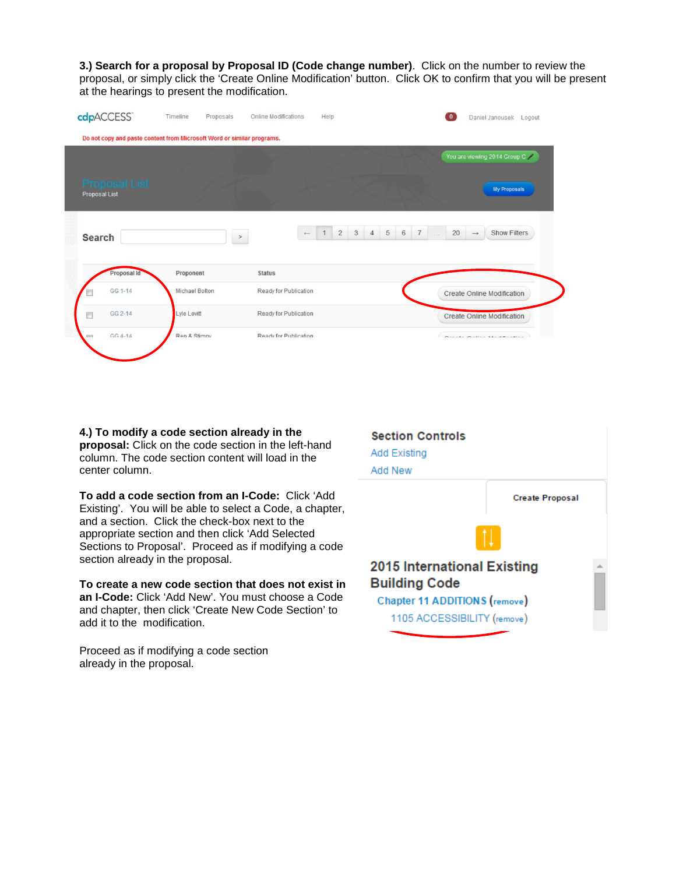**3.) Search for a proposal by Proposal ID (Code change number)**. Click on the number to review the proposal, or simply click the 'Create Online Modification' button. Click OK to confirm that you will be present at the hearings to present the modification.

|                                |                |                       | You are viewing 2014 Group C                                 |                     |                                          |
|--------------------------------|----------------|-----------------------|--------------------------------------------------------------|---------------------|------------------------------------------|
| Proposal List<br>Proposal List |                |                       |                                                              |                     | <b>My Proposals</b>                      |
| <b>Search</b>                  |                | $\leftarrow$<br>$\,>$ | $\overline{c}$<br>$\mathbf{3}$<br>$4\quad 5$<br>$\mathbf{1}$ | 6 7<br>20<br>$\sim$ | <b>Show Filters</b><br>$\longrightarrow$ |
|                                |                |                       |                                                              |                     |                                          |
| Proposal Id                    | Proponent      | <b>Status</b>         |                                                              |                     |                                          |
| GG 1-14                        | Michael Bolton | Ready for Publication |                                                              |                     | <b>Create Online Modification</b>        |
| GG 2-14<br>戶                   | Lyle Lovitt    | Ready for Publication |                                                              |                     | <b>Create Online Modification</b>        |

**4.) To modify a code section already in the proposal:** Click on the code section in the left-hand column. The code section content will load in the center column.

**To add a code section from an I-Code:** Click 'Add Existing'. You will be able to select a Code, a chapter, and a section. Click the check-box next to the appropriate section and then click 'Add Selected Sections to Proposal'. Proceed as if modifying a code section already in the proposal.

**To create a new code section that does not exist in an I-Code:** Click 'Add New'. You must choose a Code and chapter, then click 'Create New Code Section' to add it to the modification.

Proceed as if modifying a code section already in the proposal.